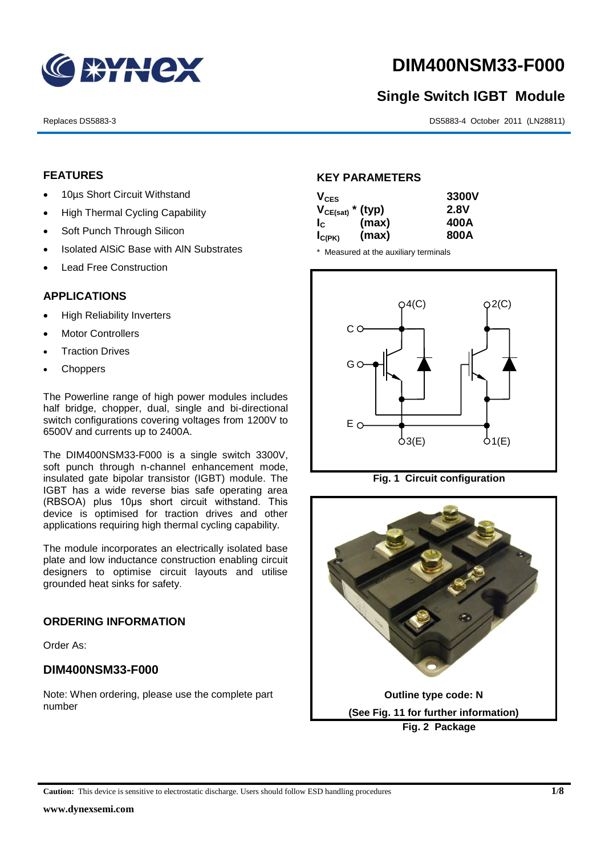

# **DIM400NSM33-F000**

# **Single Switch IGBT Module**

Replaces DS5883-3 DS5883-4 October 2011 (LN28811)

# **FEATURES**

- 10µs Short Circuit Withstand
- High Thermal Cycling Capability
- Soft Punch Through Silicon
- Isolated AISiC Base with AIN Substrates
- Lead Free Construction

# **APPLICATIONS**

- High Reliability Inverters
- Motor Controllers
- Traction Drives
- **Choppers**

The Powerline range of high power modules includes half bridge, chopper, dual, single and bi-directional switch configurations covering voltages from 1200V to 6500V and currents up to 2400A.

The DIM400NSM33-F000 is a single switch 3300V, soft punch through n-channel enhancement mode, insulated gate bipolar transistor (IGBT) module. The IGBT has a wide reverse bias safe operating area (RBSOA) plus 10μs short circuit withstand. This device is optimised for traction drives and other applications requiring high thermal cycling capability.

The module incorporates an electrically isolated base plate and low inductance construction enabling circuit designers to optimise circuit layouts and utilise grounded heat sinks for safety.

# **ORDERING INFORMATION**

Order As:

# **DIM400NSM33-F000**

Note: When ordering, please use the complete part number

# **KEY PARAMETERS**

| $V_{CES}$             |       | 3300V       |
|-----------------------|-------|-------------|
| $V_{CE(sat)}$ * (typ) |       | <b>2.8V</b> |
| $I_c$                 | (max) | 400A        |
| $I_{C(PK)}$           | (max) | 800A        |

\* Measured at the auxiliary terminals



**Fig. 1 Circuit configuration**



**Caution:** This device is sensitive to electrostatic discharge. Users should follow ESD handling procedures **1/8**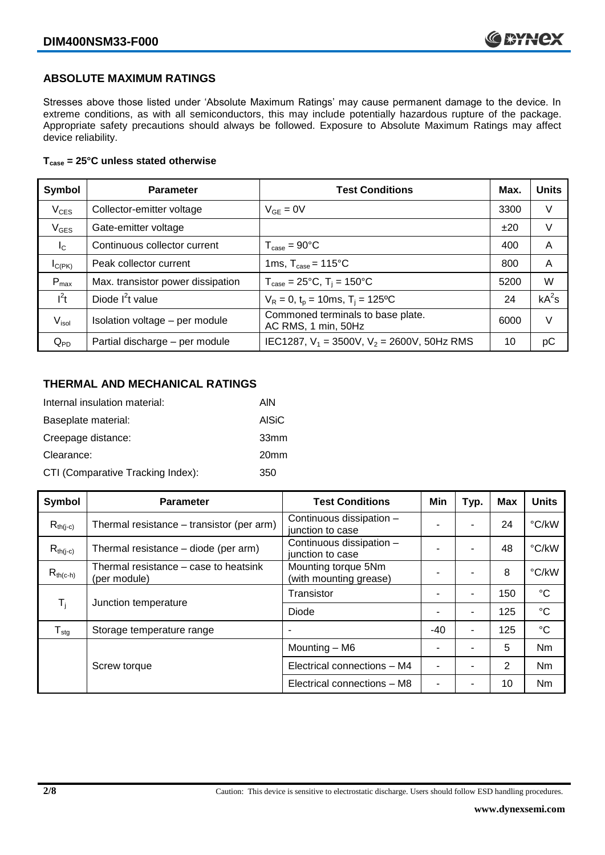# **ABSOLUTE MAXIMUM RATINGS**

Stresses above those listed under 'Absolute Maximum Ratings' may cause permanent damage to the device. In extreme conditions, as with all semiconductors, this may include potentially hazardous rupture of the package. Appropriate safety precautions should always be followed. Exposure to Absolute Maximum Ratings may affect device reliability.

### **Tcase = 25°C unless stated otherwise**

| Symbol            | <b>Parameter</b>                  | <b>Test Conditions</b>                                   | Max. | <b>Units</b> |
|-------------------|-----------------------------------|----------------------------------------------------------|------|--------------|
| $V_{CES}$         | Collector-emitter voltage         | $V_{GE} = 0V$                                            | 3300 | V            |
| $V_{GES}$         | Gate-emitter voltage              |                                                          | ±20  | V            |
| $I_{\rm C}$       | Continuous collector current      | $T_{\text{case}} = 90^{\circ}C$                          | 400  | A            |
| $I_{C(PK)}$       | Peak collector current            | 1ms, $T_{\text{case}} = 115^{\circ}$ C                   | 800  | A            |
| $P_{max}$         | Max. transistor power dissipation | $T_{\text{case}} = 25^{\circ}C$ , $T_i = 150^{\circ}C$   | 5200 | W            |
| $l^2t$            | Diode $I2t$ value                 | $V_R = 0$ , $t_p = 10$ ms, $T_i = 125$ °C                | 24   | $kA^2s$      |
| V <sub>isol</sub> | Isolation voltage - per module    | Commoned terminals to base plate.<br>AC RMS, 1 min, 50Hz | 6000 | V            |
| $Q_{PD}$          | Partial discharge - per module    | IEC1287, $V_1 = 3500V$ , $V_2 = 2600V$ , 50Hz RMS        | 10   | рC           |

# **THERMAL AND MECHANICAL RATINGS**

| Internal insulation material:     | AIN              |
|-----------------------------------|------------------|
| Baseplate material:               | <b>AISiC</b>     |
| Creepage distance:                | 33mm             |
| Clearance:                        | 20 <sub>mm</sub> |
| CTI (Comparative Tracking Index): | 350              |

| Symbol           | <b>Parameter</b>                                                                     | <b>Test Conditions</b>                        | Min   | Typ. | <b>Max</b> | <b>Units</b>    |
|------------------|--------------------------------------------------------------------------------------|-----------------------------------------------|-------|------|------------|-----------------|
| $R_{th(j-c)}$    | Thermal resistance – transistor (per arm)                                            | Continuous dissipation -<br>junction to case  |       | ۰    | 24         | °C/kW           |
| $R_{th(i-c)}$    | Continuous dissipation -<br>Thermal resistance – diode (per arm)<br>junction to case |                                               |       | ۰    | 48         | °C/kW           |
| $R_{th(c-h)}$    | Thermal resistance – case to heatsink<br>(per module)                                | Mounting torque 5Nm<br>(with mounting grease) |       |      | 8          | °C/kW           |
|                  |                                                                                      | Transistor                                    |       | ۰    | 150        | $^{\circ}C$     |
| $T_i$            | Junction temperature                                                                 | Diode                                         |       | ۰    | 125        | $^{\circ}C$     |
| $T_{\text{stg}}$ | Storage temperature range                                                            |                                               | $-40$ | ۰    | 125        | $\rm ^{\circ}C$ |
|                  |                                                                                      | Mounting - M6                                 |       |      | 5          | Nm              |
|                  | Screw torque                                                                         | Electrical connections - M4                   |       |      | 2          | <b>Nm</b>       |
|                  |                                                                                      | Electrical connections - M8                   |       |      | 10         | Nm              |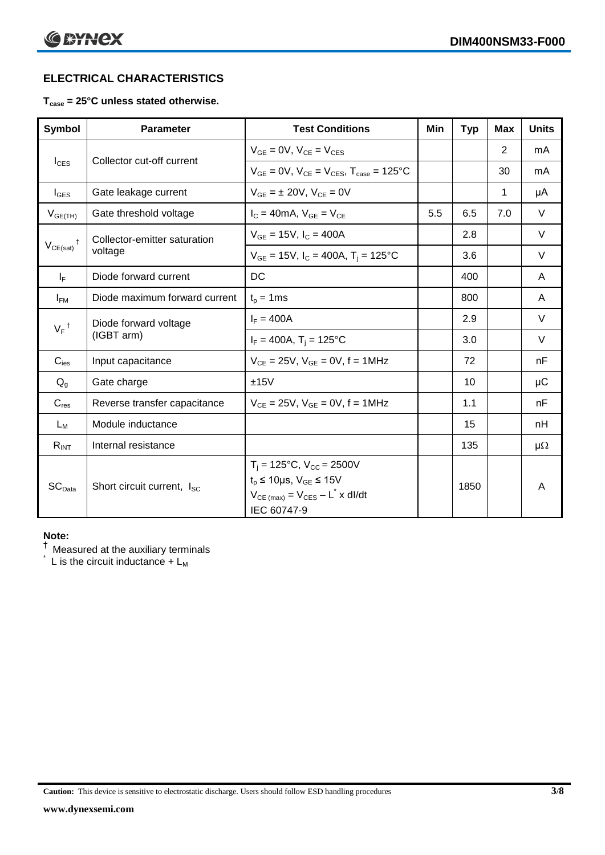# **ELECTRICAL CHARACTERISTICS**

# **Tcase = 25°C unless stated otherwise.**

| Symbol             | <b>Parameter</b>                       | <b>Test Conditions</b>                                                                                                                                          | Min | <b>Typ</b> | <b>Max</b> | <b>Units</b> |
|--------------------|----------------------------------------|-----------------------------------------------------------------------------------------------------------------------------------------------------------------|-----|------------|------------|--------------|
| $I_{CES}$          | Collector cut-off current              | $V_{GF} = 0V$ , $V_{CF} = V_{CES}$                                                                                                                              |     |            | 2          | mA           |
|                    |                                        | $V_{CF} = 0V$ , $V_{CF} = V_{CES}$ , $T_{case} = 125$ °C                                                                                                        |     |            | 30         | mA           |
| $I_{\text{GES}}$   | Gate leakage current                   | $V_{GF} = \pm 20V$ , $V_{CF} = 0V$                                                                                                                              |     |            | 1          | μA           |
| $V_{GE(TH)}$       | Gate threshold voltage                 | $I_c = 40mA$ , $V_{GE} = V_{CE}$                                                                                                                                | 5.5 | 6.5        | 7.0        | $\vee$       |
| $V_{CE(sat)}$      | Collector-emitter saturation           | $V_{GF} = 15V$ , $I_C = 400A$                                                                                                                                   |     | 2.8        |            | $\vee$       |
|                    | voltage                                | $V_{GE}$ = 15V, $I_C$ = 400A, T <sub>i</sub> = 125°C                                                                                                            |     | 3.6        |            | $\vee$       |
| $I_F$              | Diode forward current                  | DC                                                                                                                                                              |     | 400        |            | A            |
| $I_{FM}$           | Diode maximum forward current          | $t_p = 1$ ms                                                                                                                                                    |     | 800        |            | A            |
| $V_F$ <sup>†</sup> | Diode forward voltage<br>(IGBT arm)    | $I_F = 400A$                                                                                                                                                    |     | 2.9        |            | $\vee$       |
|                    |                                        | $I_F = 400A$ , T <sub>i</sub> = 125°C                                                                                                                           |     | 3.0        |            | V            |
| $C_{\text{ies}}$   | Input capacitance                      | $V_{CE} = 25V$ , $V_{GE} = 0V$ , f = 1MHz                                                                                                                       |     | 72         |            | nF           |
| $Q_g$              | Gate charge                            | ±15V                                                                                                                                                            |     | 10         |            | $\mu$ C      |
| $C_{res}$          | Reverse transfer capacitance           | $V_{CE} = 25V$ , $V_{GE} = 0V$ , f = 1MHz                                                                                                                       |     | 1.1        |            | nF           |
| $L_M$              | Module inductance                      |                                                                                                                                                                 |     | 15         |            | nH           |
| $R_{INT}$          | Internal resistance                    |                                                                                                                                                                 |     | 135        |            | $\mu\Omega$  |
| SC <sub>Data</sub> | Short circuit current, I <sub>SC</sub> | $T_i = 125$ °C, $V_{CC} = 2500V$<br>$t_p \le 10 \mu s$ , $V_{GE} \le 15 V$<br>$V_{CE \text{ (max)}} = V_{CES} - L^{\dagger} \times \text{dI/dt}$<br>IEC 60747-9 |     | 1850       |            | A            |

#### **Note:**

 $^\dagger$  Measured at the auxiliary terminals

L is the circuit inductance  $+ L<sub>M</sub>$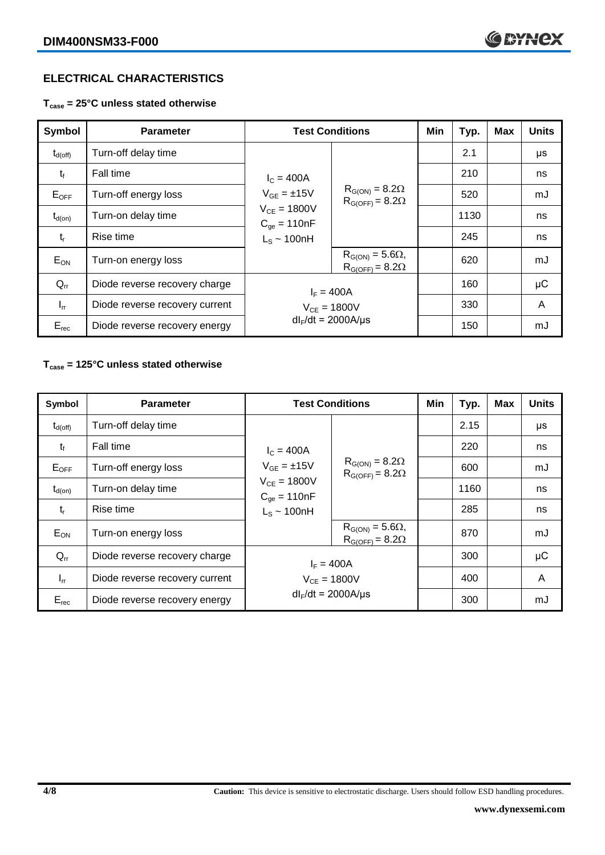# **ELECTRICAL CHARACTERISTICS**

**Tcase = 25°C unless stated otherwise**

| Symbol              | <b>Parameter</b>               | <b>Test Conditions</b>                                                                                |                                                       | Min | Typ. | <b>Max</b> | <b>Units</b> |
|---------------------|--------------------------------|-------------------------------------------------------------------------------------------------------|-------------------------------------------------------|-----|------|------------|--------------|
| $t_{d(\text{off})}$ | Turn-off delay time            | $I_c = 400A$<br>$V_{GF} = \pm 15V$<br>$V_{CF} = 1800V$<br>$C_{\text{oe}} = 110nF$<br>$L_s \sim 100nH$ | $R_{G(ON)} = 8.2\Omega$<br>$R_{G(OFF)} = 8.2\Omega$   |     | 2.1  |            | μs           |
| $t_{\rm f}$         | Fall time                      |                                                                                                       |                                                       |     | 210  |            | ns           |
| $E_{OFF}$           | Turn-off energy loss           |                                                                                                       |                                                       |     | 520  |            | mJ           |
| $t_{d(on)}$         | Turn-on delay time             |                                                                                                       |                                                       |     | 1130 |            | ns           |
| $t_{r}$             | Rise time                      |                                                                                                       |                                                       |     | 245  |            | ns           |
| $E_{ON}$            | Turn-on energy loss            |                                                                                                       | $R_{G(ON)} = 5.6\Omega$ ,<br>$R_{G(OFF)} = 8.2\Omega$ |     | 620  |            | mJ           |
| $Q_{rr}$            | Diode reverse recovery charge  | $I_F = 400A$                                                                                          |                                                       |     | 160  |            | μC           |
| $I_{rr}$            | Diode reverse recovery current | $V_{CE} = 1800V$                                                                                      |                                                       |     | 330  |            | A            |
| $E_{rec}$           | Diode reverse recovery energy  | $dl_F/dt = 2000A/\mu s$                                                                               |                                                       |     | 150  |            | mJ           |

# **Tcase = 125°C unless stated otherwise**

| Symbol           | <b>Parameter</b>               | <b>Test Conditions</b>                                                                                 |                                                                                                              | Min | Typ. | <b>Max</b> | <b>Units</b> |
|------------------|--------------------------------|--------------------------------------------------------------------------------------------------------|--------------------------------------------------------------------------------------------------------------|-----|------|------------|--------------|
| $\rm t_{d(off)}$ | Turn-off delay time            | $I_c = 400A$<br>$V_{GE} = \pm 15V$<br>$V_{CE} = 1800V$<br>$C_{\text{qe}} = 110nF$<br>$L_s \sim 100$ nH | $R_{G(ON)} = 8.2\Omega$<br>$R_{G(OFF)} = 8.2\Omega$<br>$R_{G(ON)} = 5.6\Omega$ ,<br>$R_{G(OFF)} = 8.2\Omega$ |     | 2.15 |            | μs           |
| $t_f$            | <b>Fall time</b>               |                                                                                                        |                                                                                                              |     | 220  |            | ns           |
| $E_{OFF}$        | Turn-off energy loss           |                                                                                                        |                                                                                                              |     | 600  |            | mJ           |
| $t_{d(on)}$      | Turn-on delay time             |                                                                                                        |                                                                                                              |     | 1160 |            | ns           |
| $t_{r}$          | Rise time                      |                                                                                                        |                                                                                                              |     | 285  |            | ns           |
| $E_{ON}$         | Turn-on energy loss            |                                                                                                        |                                                                                                              |     | 870  |            | mJ           |
| $Q_{rr}$         | Diode reverse recovery charge  | $I_F = 400A$                                                                                           |                                                                                                              |     | 300  |            | μC           |
| $I_{rr}$         | Diode reverse recovery current | $V_{CF} = 1800V$                                                                                       |                                                                                                              |     | 400  |            | A            |
| $E_{rec}$        | Diode reverse recovery energy  | $dl_F/dt = 2000A/\mu s$                                                                                |                                                                                                              |     | 300  |            | mJ           |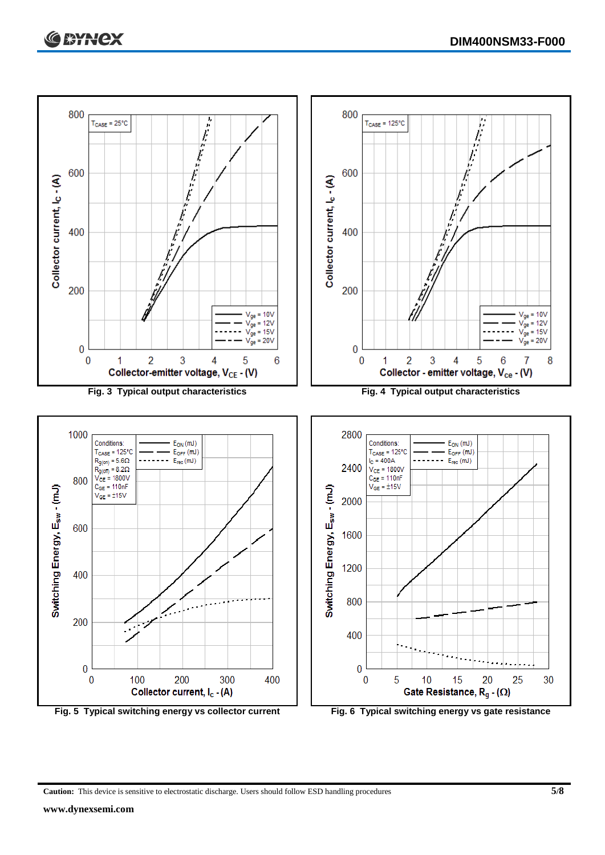

**Caution:** This device is sensitive to electrostatic discharge. Users should follow ESD handling procedures **5/8**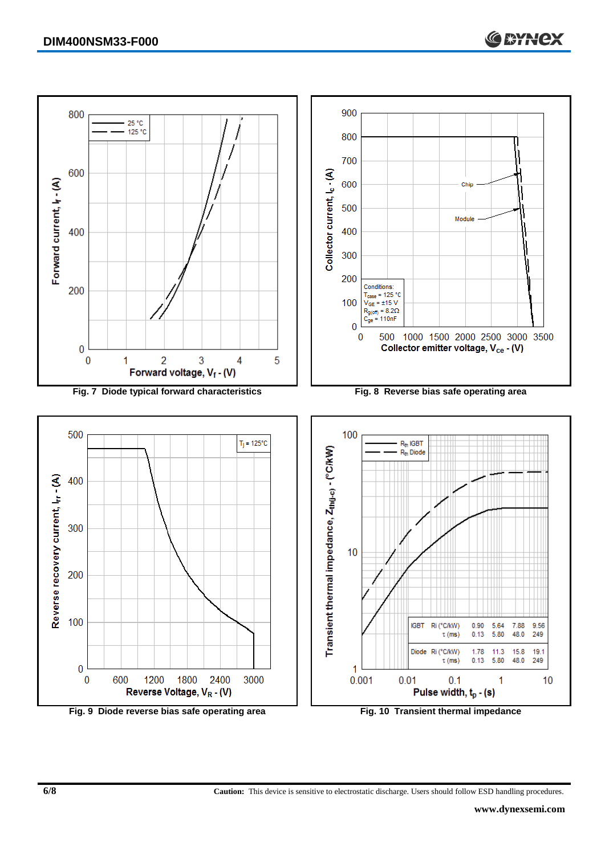

**6/8 Caution:** This device is sensitive to electrostatic discharge. Users should follow ESD handling procedures.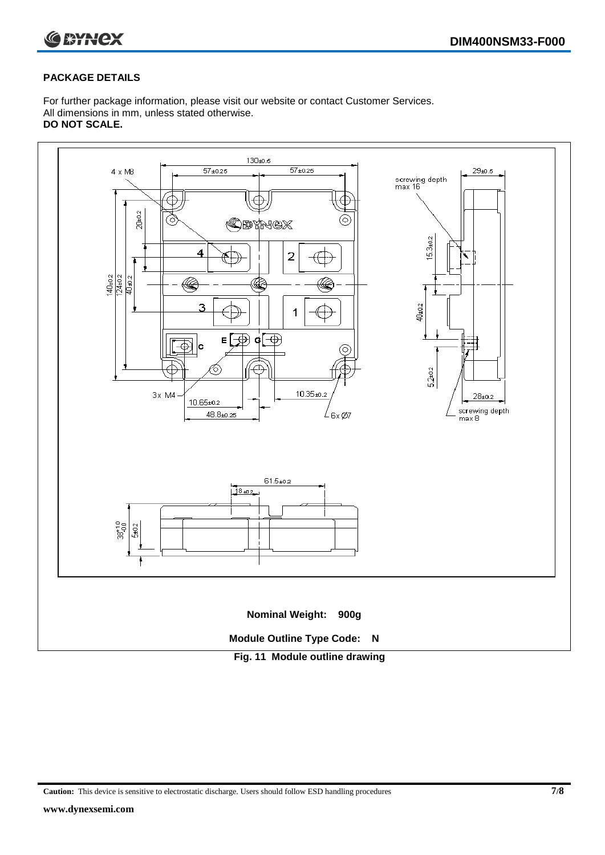

## **PACKAGE DETAILS**

For further package information, please visit our website or contact Customer Services. All dimensions in mm, unless stated otherwise. **DO NOT SCALE.**



**Caution:** This device is sensitive to electrostatic discharge. Users should follow ESD handling procedures **7/8**